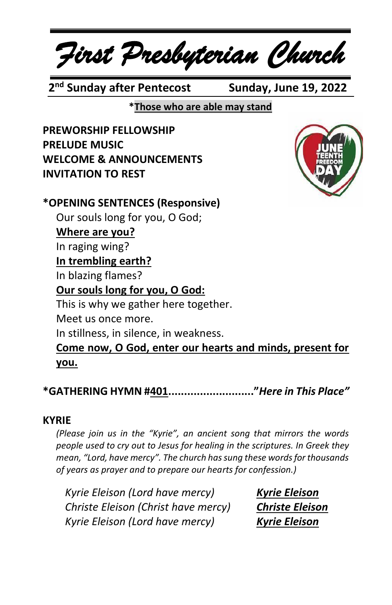*First Presbyterian Church*

 **2 nd Sunday after Pentecost Sunday, June 19, 2022**

**\*Those who are able may stand**

**PREWORSHIP FELLOWSHIP PRELUDE MUSIC WELCOME & ANNOUNCEMENTS INVITATION TO REST**



#### **\*OPENING SENTENCES (Responsive)** Our souls long for you, O God; **Where are you?** In raging wing? **In trembling earth?** In blazing flames? **Our souls long for you, O God:** This is why we gather here together. Meet us once more. In stillness, in silence, in weakness. **Come now, O God, enter our hearts and minds, present for you.**

**\*GATHERING HYMN #401..........................."***Here in This Place"*

#### **KYRIE**

*(Please join us in the "Kyrie", an ancient song that mirrors the words people used to cry out to Jesus for healing in the scriptures. In Greek they mean, "Lord, have mercy". The church has sung these words for thousands of years as prayer and to prepare our hearts for confession.)*

*Kyrie Eleison (Lord have mercy) Kyrie Eleison Christe Eleison (Christ have mercy) Christe Eleison Kyrie Eleison (Lord have mercy) Kyrie Eleison*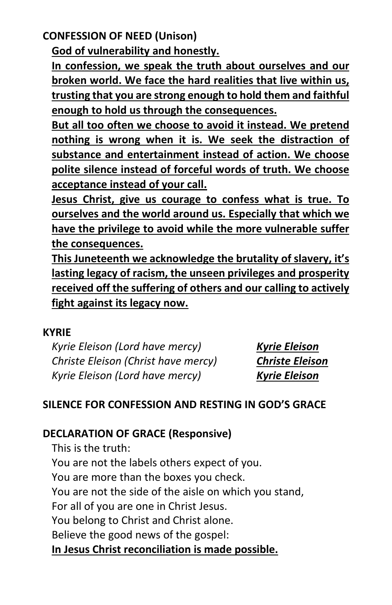**CONFESSION OF NEED (Unison)**

**God of vulnerability and honestly.**

**In confession, we speak the truth about ourselves and our broken world. We face the hard realities that live within us, trusting that you are strong enough to hold them and faithful enough to hold us through the consequences.**

**But all too often we choose to avoid it instead. We pretend nothing is wrong when it is. We seek the distraction of substance and entertainment instead of action. We choose polite silence instead of forceful words of truth. We choose acceptance instead of your call.**

**Jesus Christ, give us courage to confess what is true. To ourselves and the world around us. Especially that which we have the privilege to avoid while the more vulnerable suffer the consequences.**

**This Juneteenth we acknowledge the brutality of slavery, it's lasting legacy of racism, the unseen privileges and prosperity received off the suffering of others and our calling to actively fight against its legacy now.**

#### **KYRIE**

*Kyrie Eleison (Lord have mercy) Kyrie Eleison Christe Eleison (Christ have mercy) Christe Eleison Kyrie Eleison (Lord have mercy) Kyrie Eleison*

#### **SILENCE FOR CONFESSION AND RESTING IN GOD'S GRACE**

#### **DECLARATION OF GRACE (Responsive)**

This is the truth: You are not the labels others expect of you. You are more than the boxes you check. You are not the side of the aisle on which you stand, For all of you are one in Christ Jesus. You belong to Christ and Christ alone. Believe the good news of the gospel: **In Jesus Christ reconciliation is made possible.**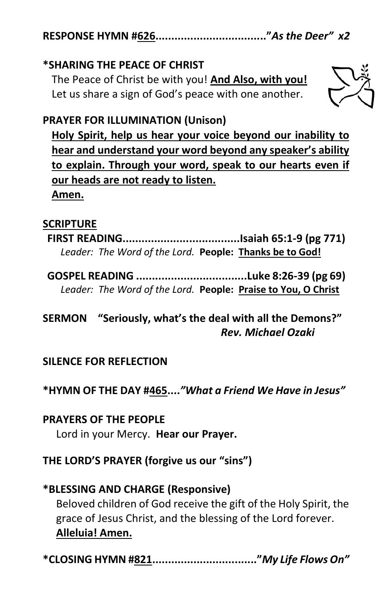**RESPONSE HYMN #626..................................."***As the Deer" x2*

#### **\*SHARING THE PEACE OF CHRIST**

The Peace of Christ be with you! **And Also, with you!** Let us share a sign of God's peace with one another.



#### **PRAYER FOR ILLUMINATION (Unison)**

**Holy Spirit, help us hear your voice beyond our inability to hear and understand your word beyond any speaker's ability to explain. Through your word, speak to our hearts even if our heads are not ready to listen. Amen.**

#### **SCRIPTURE**

**FIRST READING.....................................Isaiah 65:1-9 (pg 771)** *Leader: The Word of the Lord.* **People: Thanks be to God!**

**GOSPEL READING ...................................Luke 8:26-39 (pg 69)** *Leader: The Word of the Lord.* **People: Praise to You, O Christ**

**SERMON "Seriously, what's the deal with all the Demons?"** *Rev. Michael Ozaki*

#### **SILENCE FOR REFLECTION**

**\*HYMN OF THE DAY #465....***"What a Friend We Have in Jesus"*

**PRAYERS OF THE PEOPLE** Lord in your Mercy. **Hear our Prayer.**

**THE LORD'S PRAYER (forgive us our "sins")**

## **\*BLESSING AND CHARGE (Responsive)**  Beloved children of God receive the gift of the Holy Spirit, the grace of Jesus Christ, and the blessing of the Lord forever. **Alleluia! Amen.**

**\*CLOSING HYMN #821................................."***My Life Flows On"*